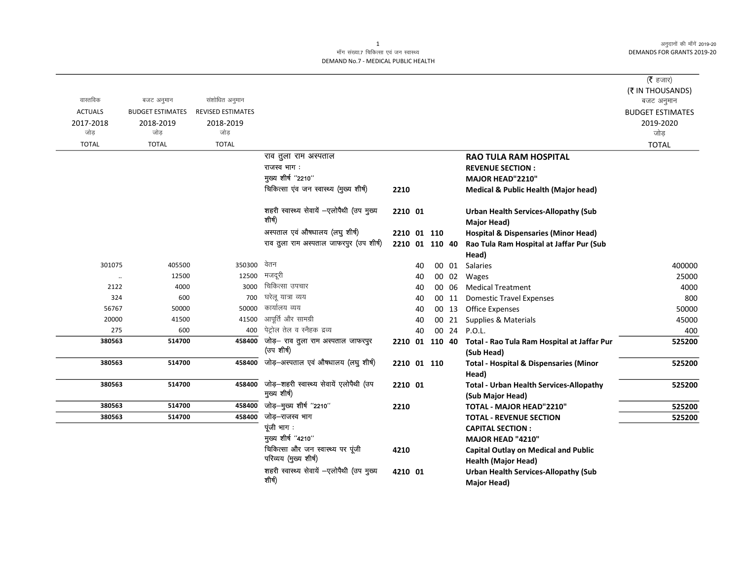अनुदानों की माँगें 2019-20 DEMANDS FOR GRANTS 2019-20

## माँग संख्या.7 चिकित्सा एवं जन स्वास्थ्य DEMAND No.7 - MEDICAL PUBLIC HEALTH

|                  |                         |                          |                                                            |                |    |       |                                                   | ( $\bar{\tau}$ हजार)    |
|------------------|-------------------------|--------------------------|------------------------------------------------------------|----------------|----|-------|---------------------------------------------------|-------------------------|
| वास्तविक         |                         |                          |                                                            |                |    |       |                                                   | (₹ IN THOUSANDS)        |
|                  | बजट अनुमान              | संशोधित अनुमान           |                                                            |                |    |       |                                                   | बजट अनुमान              |
| <b>ACTUALS</b>   | <b>BUDGET ESTIMATES</b> | <b>REVISED ESTIMATES</b> |                                                            |                |    |       |                                                   | <b>BUDGET ESTIMATES</b> |
| 2017-2018<br>जोड | 2018-2019<br>जोड        | 2018-2019<br>जोड         |                                                            |                |    |       |                                                   | 2019-2020<br>जोड़       |
|                  |                         |                          |                                                            |                |    |       |                                                   |                         |
| <b>TOTAL</b>     | <b>TOTAL</b>            | <b>TOTAL</b>             |                                                            |                |    |       |                                                   | <b>TOTAL</b>            |
|                  |                         |                          | राव तुला राम अस्पताल                                       |                |    |       | <b>RAO TULA RAM HOSPITAL</b>                      |                         |
|                  |                         |                          | राजस्व भाग:<br>मुख्य शीर्ष "2210"                          |                |    |       | <b>REVENUE SECTION:</b>                           |                         |
|                  |                         |                          |                                                            |                |    |       | MAJOR HEAD"2210"                                  |                         |
|                  |                         |                          | चिकित्सा एंव जन स्वास्थ्य (मुख्य शीर्ष)                    | 2210           |    |       | Medical & Public Health (Major head)              |                         |
|                  |                         |                          | शहरी स्वास्थ्य सेवायें -एलोपैथी (उप मुख्य                  | 2210 01        |    |       | <b>Urban Health Services-Allopathy (Sub</b>       |                         |
|                  |                         |                          | शीर्ष)                                                     |                |    |       | <b>Major Head)</b>                                |                         |
|                  |                         |                          | अस्पताल एवं औषधालय (लघु शीर्ष)                             | 2210 01 110    |    |       | <b>Hospital &amp; Dispensaries (Minor Head)</b>   |                         |
|                  |                         |                          | राव तुला राम अस्पताल जाफरपुर (उप शीर्ष)                    | 2210 01 110 40 |    |       | Rao Tula Ram Hospital at Jaffar Pur (Sub          |                         |
|                  |                         |                          |                                                            |                |    |       | Head)                                             |                         |
| 301075           | 405500                  | 350300                   | वेतन                                                       |                | 40 | 00 01 | Salaries                                          | 400000                  |
| $\ddotsc$        | 12500                   | 12500                    | मजदूरी                                                     |                | 40 | 00 02 | Wages                                             | 25000                   |
| 2122             | 4000                    | 3000                     | चिकित्सा उपचार                                             |                | 40 | 00 06 | <b>Medical Treatment</b>                          | 4000                    |
| 324              | 600                     | 700                      | घरेल यात्रा व्यय                                           |                | 40 | 00 11 | <b>Domestic Travel Expenses</b>                   | 800                     |
| 56767            | 50000                   | 50000                    | कार्यालय व्यय                                              |                | 40 | 00 13 | <b>Office Expenses</b>                            | 50000                   |
| 20000            | 41500                   | 41500                    | आपूर्ति और सामग्री                                         |                | 40 | 00 21 | Supplies & Materials                              | 45000                   |
| 275              | 600                     | 400                      | पेट्रोल तेल व स्नैहक द्रव्य                                |                | 40 |       | 00 24 P.O.L.                                      | 400                     |
| 380563           | 514700                  | 458400                   | जोड़- राव तुला राम अस्पताल जाफरपुर                         | 2210 01 110 40 |    |       | Total - Rao Tula Ram Hospital at Jaffar Pur       | 525200                  |
|                  |                         |                          | (उप शीर्ष)                                                 |                |    |       | (Sub Head)                                        |                         |
| 380563           | 514700                  | 458400                   | जोड़-अस्पताल एवं औषधालय (लघु शीर्ष)                        | 2210 01 110    |    |       | <b>Total - Hospital &amp; Dispensaries (Minor</b> | 525200                  |
|                  |                         |                          |                                                            |                |    |       | Head)                                             |                         |
| 380563           | 514700                  | 458400                   | जोड़-शहरी स्वास्थ्य सेवायें एलोपैथी (उप<br>मुख्य शीर्ष)    | 2210 01        |    |       | <b>Total - Urban Health Services-Allopathy</b>    | 525200                  |
|                  |                         |                          |                                                            |                |    |       | (Sub Major Head)                                  |                         |
| 380563           | 514700                  | 458400                   | जोड़-मुख्य शीर्ष "2210"                                    | 2210           |    |       | TOTAL - MAJOR HEAD"2210"                          | 525200                  |
| 380563           | 514700                  | 458400                   | जोड़–राजस्व भाग                                            |                |    |       | <b>TOTAL - REVENUE SECTION</b>                    | 525200                  |
|                  |                         |                          | पूंजी भाग:                                                 |                |    |       | <b>CAPITAL SECTION:</b>                           |                         |
|                  |                         |                          | मुख्य शीर्ष "4210"                                         |                |    |       | MAJOR HEAD "4210"                                 |                         |
|                  |                         |                          | चिकित्सा और जन स्वास्थ्य पर पूंजी<br>परिव्यय (मुख्य शीर्ष) | 4210           |    |       | <b>Capital Outlay on Medical and Public</b>       |                         |
|                  |                         |                          |                                                            |                |    |       | <b>Health (Major Head)</b>                        |                         |
|                  |                         |                          | शहरी स्वास्थ्य सेवायें -एलोपैथी (उप मुख्य                  | 4210 01        |    |       | <b>Urban Health Services-Allopathy (Sub</b>       |                         |
|                  |                         |                          | शीर्ष)                                                     |                |    |       | Major Head)                                       |                         |

1